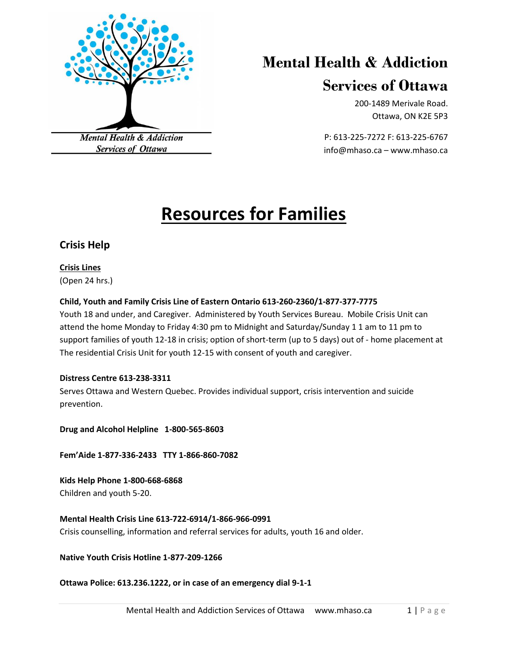

# **Mental Health & Addiction**

# **Services of Ottawa**

200-1489 Merivale Road. Ottawa, ON K2E 5P3

P: 613-225-7272 F: 613-225-6767 info@mhaso.ca – www.mhaso.ca

# **Resources for Families**

### **Crisis Help**

**Crisis Lines** (Open 24 hrs.)

### **Child, Youth and Family Crisis Line of Eastern Ontario 613-260-2360/1-877-377-7775**

Youth 18 and under, and Caregiver. Administered by Youth Services Bureau. Mobile Crisis Unit can attend the home Monday to Friday 4:30 pm to Midnight and Saturday/Sunday 1 1 am to 11 pm to support families of youth 12-18 in crisis; option of short-term (up to 5 days) out of - home placement at The residential Crisis Unit for youth 12-15 with consent of youth and caregiver.

### **Distress Centre 613-238-3311**

Serves Ottawa and Western Quebec. Provides individual support, crisis intervention and suicide prevention.

**Drug and Alcohol Helpline 1-800-565-8603**

**Fem'Aide 1-877-336-2433 TTY 1-866-860-7082**

**Kids Help Phone 1-800-668-6868** Children and youth 5-20.

**Mental Health Crisis Line 613-722-6914/1-866-966-0991** Crisis counselling, information and referral services for adults, youth 16 and older.

**Native Youth Crisis Hotline 1-877-209-1266**

**Ottawa Police: 613.236.1222, or in case of an emergency dial 9-1-1**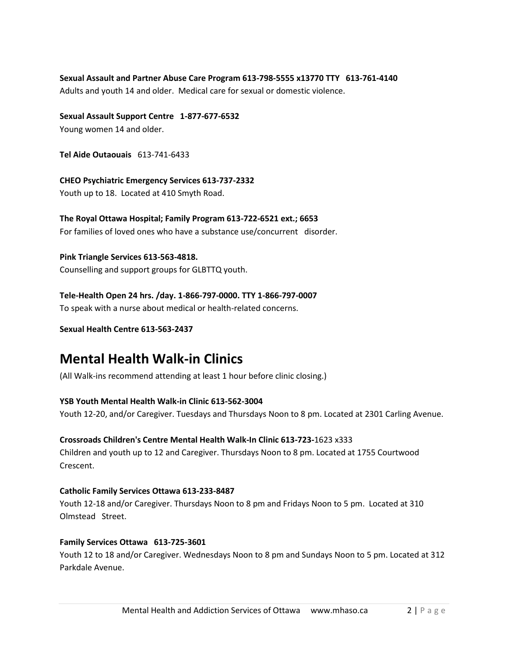**Sexual Assault and Partner Abuse Care Program 613-798-5555 x13770 TTY 613-761-4140** Adults and youth 14 and older. Medical care for sexual or domestic violence.

**Sexual Assault Support Centre 1-877-677-6532** Young women 14 and older.

**Tel Aide Outaouais** 613-741-6433

**CHEO Psychiatric Emergency Services 613-737-2332** Youth up to 18. Located at 410 Smyth Road.

**The Royal Ottawa Hospital; Family Program 613-722-6521 ext.; 6653** For families of loved ones who have a substance use/concurrent disorder.

**Pink Triangle Services 613-563-4818.** Counselling and support groups for GLBTTQ youth.

**Tele-Health Open 24 hrs. /day. 1-866-797-0000. TTY 1-866-797-0007** To speak with a nurse about medical or health-related concerns.

**Sexual Health Centre 613-563-2437** 

# **Mental Health Walk-in Clinics**

(All Walk-ins recommend attending at least 1 hour before clinic closing.)

**YSB Youth Mental Health Walk-in Clinic 613-562-3004** Youth 12-20, and/or Caregiver. Tuesdays and Thursdays Noon to 8 pm. Located at 2301 Carling Avenue.

**Crossroads Children's Centre Mental Health Walk-In Clinic 613-723-**1623 x333 Children and youth up to 12 and Caregiver. Thursdays Noon to 8 pm. Located at 1755 Courtwood Crescent.

### **Catholic Family Services Ottawa 613-233-8487**

Youth 12-18 and/or Caregiver. Thursdays Noon to 8 pm and Fridays Noon to 5 pm. Located at 310 Olmstead Street.

**Family Services Ottawa 613-725-3601**

Youth 12 to 18 and/or Caregiver. Wednesdays Noon to 8 pm and Sundays Noon to 5 pm. Located at 312 Parkdale Avenue.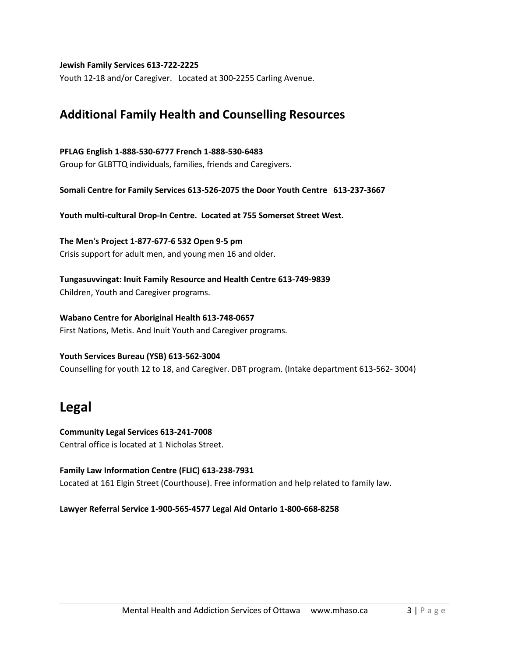**Jewish Family Services 613-722-2225**

Youth 12-18 and/or Caregiver. Located at 300-2255 Carling Avenue.

### **Additional Family Health and Counselling Resources**

### **PFLAG English 1-888-530-6777 French 1-888-530-6483**

Group for GLBTTQ individuals, families, friends and Caregivers.

**Somali Centre for Family Services 613-526-2075 the Door Youth Centre 613-237-3667**

**Youth multi-cultural Drop-In Centre. Located at 755 Somerset Street West.**

**The Men's Project 1-877-677-6 532 Open 9-5 pm** Crisis support for adult men, and young men 16 and older.

**Tungasuvvingat: Inuit Family Resource and Health Centre 613-749-9839** Children, Youth and Caregiver programs.

**Wabano Centre for Aboriginal Health 613-748-0657** First Nations, Metis. And Inuit Youth and Caregiver programs.

### **Youth Services Bureau (YSB) 613-562-3004**

Counselling for youth 12 to 18, and Caregiver. DBT program. (Intake department 613-562- 3004)

## **Legal**

**Community Legal Services 613-241-7008** Central office is located at 1 Nicholas Street.

### **Family Law Information Centre (FLIC) 613-238-7931** Located at 161 Elgin Street (Courthouse). Free information and help related to family law.

**Lawyer Referral Service 1-900-565-4577 Legal Aid Ontario 1-800-668-8258**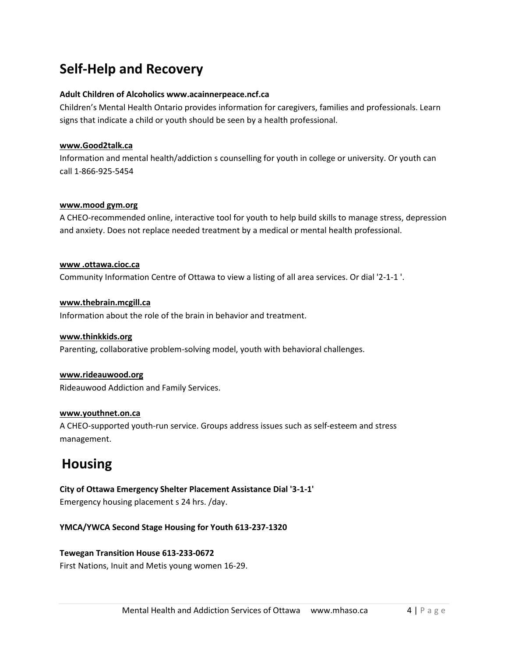# **Self-Help and Recovery**

### **Adult Children of Alcoholics www.acainnerpeace.ncf.ca**

Children's Mental Health Ontario provides information for caregivers, families and professionals. Learn signs that indicate a child or youth should be seen by a health professional.

### **www.Good2talk.ca**

Information and mental health/addiction s counselling for youth in college or university. Or youth can call 1-866-925-5454

### **www.mood gym.org**

A CHEO-recommended online, interactive tool for youth to help build skills to manage stress, depression and anxiety. Does not replace needed treatment by a medical or mental health professional.

**www .ottawa.cioc.ca** Community Information Centre of Ottawa to view a listing of all area services. Or dial '2-1-1 '.

### **www.thebrain.mcgill.ca**

Information about the role of the brain in behavior and treatment.

### **www.thinkkids.org**

Parenting, collaborative problem-solving model, youth with behavioral challenges.

### **www.rideauwood.org**

Rideauwood Addiction and Family Services.

### **www.youthnet.on.ca**

A CHEO-supported youth-run service. Groups address issues such as self-esteem and stress management.

# **Housing**

**City of Ottawa Emergency Shelter Placement Assistance Dial '3-1-1'** Emergency housing placement s 24 hrs. /day.

### **YMCA/YWCA Second Stage Housing for Youth 613-237-1320**

### **Tewegan Transition House 613-233-0672**

First Nations, Inuit and Metis young women 16-29.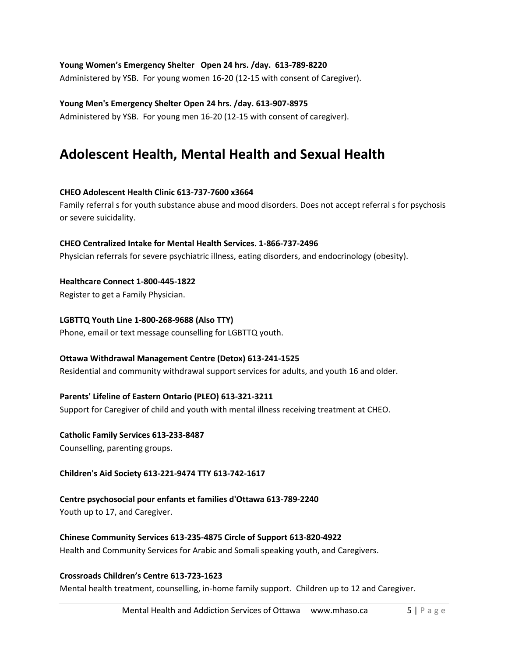### **Young Women's Emergency Shelter Open 24 hrs. /day. 613-789-8220**

Administered by YSB. For young women 16-20 (12-15 with consent of Caregiver).

### **Young Men's Emergency Shelter Open 24 hrs. /day. 613-907-8975**

Administered by YSB. For young men 16-20 (12-15 with consent of caregiver).

# **Adolescent Health, Mental Health and Sexual Health**

### **CHEO Adolescent Health Clinic 613-737-7600 x3664**

Family referral s for youth substance abuse and mood disorders. Does not accept referral s for psychosis or severe suicidality.

### **CHEO Centralized Intake for Mental Health Services. 1-866-737-2496**

Physician referrals for severe psychiatric illness, eating disorders, and endocrinology (obesity).

### **Healthcare Connect 1-800-445-1822**

Register to get a Family Physician.

### **LGBTTQ Youth Line 1-800-268-9688 (Also TTY)**

Phone, email or text message counselling for LGBTTQ youth.

### **Ottawa Withdrawal Management Centre (Detox) 613-241-1525**

Residential and community withdrawal support services for adults, and youth 16 and older.

### **Parents' Lifeline of Eastern Ontario (PLEO) 613-321-3211**

Support for Caregiver of child and youth with mental illness receiving treatment at CHEO.

### **Catholic Family Services 613-233-8487**

Counselling, parenting groups.

### **Children's Aid Society 613-221-9474 TTY 613-742-1617**

### **Centre psychosocial pour enfants et families d'Ottawa 613-789-2240**

Youth up to 17, and Caregiver.

### **Chinese Community Services 613-235-4875 Circle of Support 613-820-4922**

Health and Community Services for Arabic and Somali speaking youth, and Caregivers.

### **Crossroads Children's Centre 613-723-1623**

Mental health treatment, counselling, in-home family support. Children up to 12 and Caregiver.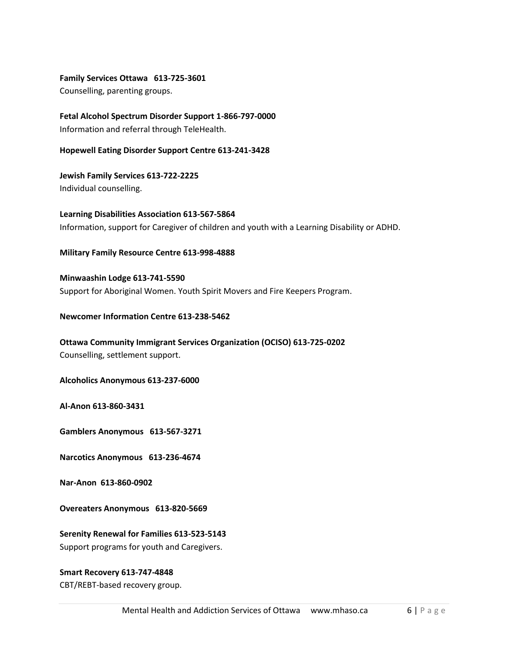**Family Services Ottawa 613-725-3601**

Counselling, parenting groups.

**Fetal Alcohol Spectrum Disorder Support 1-866-797-0000** Information and referral through TeleHealth.

**Hopewell Eating Disorder Support Centre 613-241-3428**

**Jewish Family Services 613-722-2225** Individual counselling.

**Learning Disabilities Association 613-567-5864** Information, support for Caregiver of children and youth with a Learning Disability or ADHD.

**Military Family Resource Centre 613-998-4888**

**Minwaashin Lodge 613-741-5590** Support for Aboriginal Women. Youth Spirit Movers and Fire Keepers Program.

**Newcomer Information Centre 613-238-5462**

**Ottawa Community Immigrant Services Organization (OCISO) 613-725-0202** Counselling, settlement support.

**Alcoholics Anonymous 613-237-6000** 

**Al-Anon 613-860-3431**

**Gamblers Anonymous 613-567-3271**

**Narcotics Anonymous 613-236-4674**

**Nar-Anon 613-860-0902**

**Overeaters Anonymous 613-820-5669**

**Serenity Renewal for Families 613-523-5143** Support programs for youth and Caregivers.

### **Smart Recovery 613-747-4848**

CBT/REBT-based recovery group.